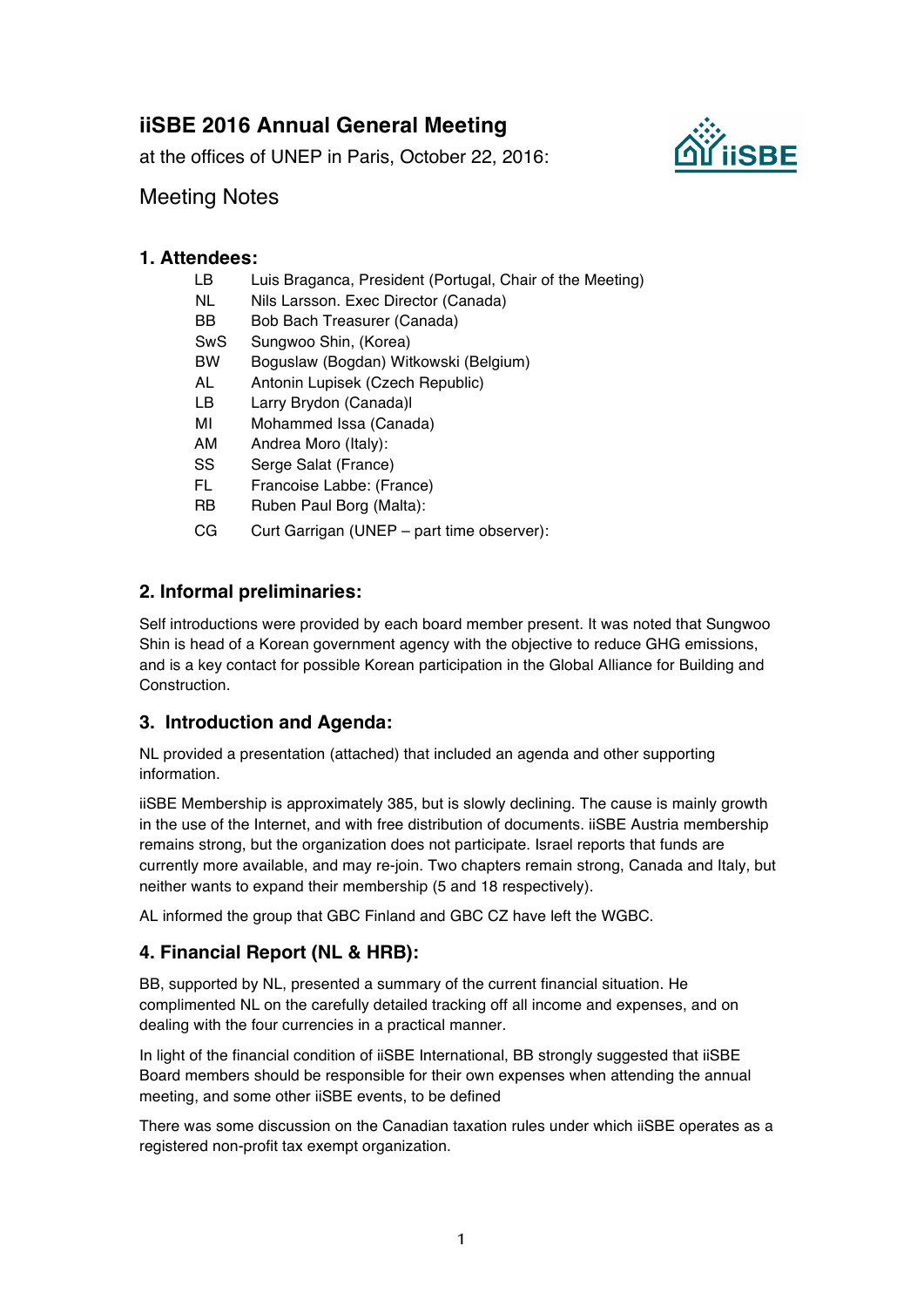# **iiSBE 2016 Annual General Meeting**

at the offices of UNEP in Paris, October 22, 2016:



## Meeting Notes

#### **1. Attendees:**

- LB Luis Braganca, President (Portugal, Chair of the Meeting)
- NL Nils Larsson. Exec Director (Canada)
- BB Bob Bach Treasurer (Canada)
- SwS Sungwoo Shin, (Korea)
- BW Boguslaw (Bogdan) Witkowski (Belgium)
- AL Antonin Lupisek (Czech Republic)
- LB Larry Brydon (Canada)l
- MI Mohammed Issa (Canada)
- AM Andrea Moro (Italy):
- SS Serge Salat (France)
- FL Francoise Labbe: (France)
- RB Ruben Paul Borg (Malta):
- CG Curt Garrigan (UNEP part time observer):

## **2. Informal preliminaries:**

Self introductions were provided by each board member present. It was noted that Sungwoo Shin is head of a Korean government agency with the objective to reduce GHG emissions, and is a key contact for possible Korean participation in the Global Alliance for Building and Construction.

#### **3. Introduction and Agenda:**

NL provided a presentation (attached) that included an agenda and other supporting information.

iiSBE Membership is approximately 385, but is slowly declining. The cause is mainly growth in the use of the Internet, and with free distribution of documents. iiSBE Austria membership remains strong, but the organization does not participate. Israel reports that funds are currently more available, and may re-join. Two chapters remain strong, Canada and Italy, but neither wants to expand their membership (5 and 18 respectively).

AL informed the group that GBC Finland and GBC CZ have left the WGBC.

## **4. Financial Report (NL & HRB):**

BB, supported by NL, presented a summary of the current financial situation. He complimented NL on the carefully detailed tracking off all income and expenses, and on dealing with the four currencies in a practical manner.

In light of the financial condition of iiSBE International, BB strongly suggested that iiSBE Board members should be responsible for their own expenses when attending the annual meeting, and some other iiSBE events, to be defined

There was some discussion on the Canadian taxation rules under which iiSBE operates as a registered non-profit tax exempt organization.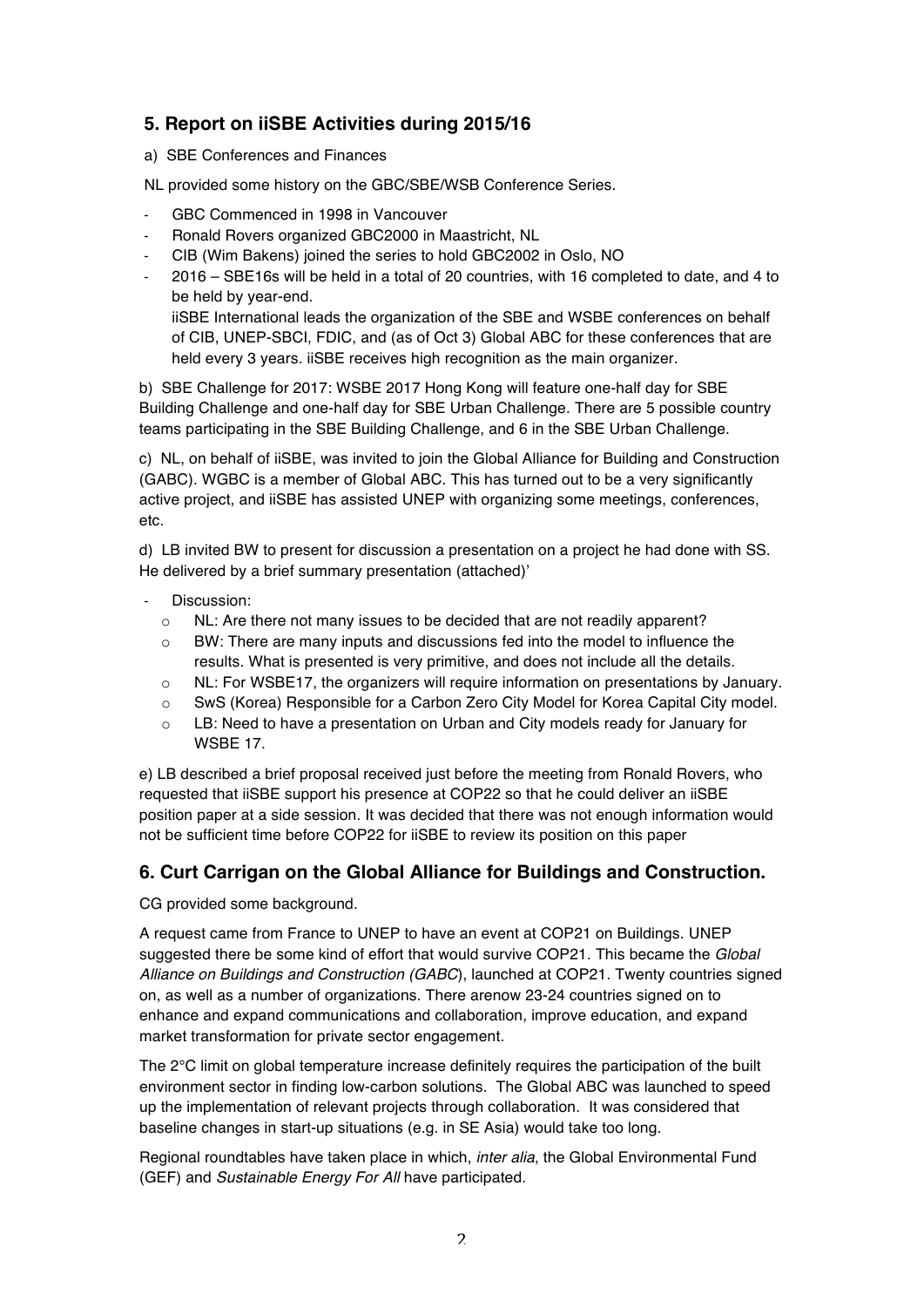## **5. Report on iiSBE Activities during 2015/16**

a) SBE Conferences and Finances

NL provided some history on the GBC/SBE/WSB Conference Series.

- GBC Commenced in 1998 in Vancouver
- Ronald Rovers organized GBC2000 in Maastricht, NL
- CIB (Wim Bakens) joined the series to hold GBC2002 in Oslo, NO
- 2016 SBE16s will be held in a total of 20 countries, with 16 completed to date, and 4 to be held by year-end. iiSBE International leads the organization of the SBE and WSBE conferences on behalf of CIB, UNEP-SBCI, FDIC, and (as of Oct 3) Global ABC for these conferences that are held every 3 years. iiSBE receives high recognition as the main organizer.

b) SBE Challenge for 2017: WSBE 2017 Hong Kong will feature one-half day for SBE Building Challenge and one-half day for SBE Urban Challenge. There are 5 possible country teams participating in the SBE Building Challenge, and 6 in the SBE Urban Challenge.

c) NL, on behalf of iiSBE, was invited to join the Global Alliance for Building and Construction (GABC). WGBC is a member of Global ABC. This has turned out to be a very significantly active project, and iiSBE has assisted UNEP with organizing some meetings, conferences, etc.

d) LB invited BW to present for discussion a presentation on a project he had done with SS. He delivered by a brief summary presentation (attached)'

- Discussion:
	- o NL: Are there not many issues to be decided that are not readily apparent?
	- $\circ$  BW: There are many inputs and discussions fed into the model to influence the results. What is presented is very primitive, and does not include all the details.
	- o NL: For WSBE17, the organizers will require information on presentations by January.
	- o SwS (Korea) Responsible for a Carbon Zero City Model for Korea Capital City model.
	- o LB: Need to have a presentation on Urban and City models ready for January for WSBE 17.

e) LB described a brief proposal received just before the meeting from Ronald Rovers, who requested that iiSBE support his presence at COP22 so that he could deliver an iiSBE position paper at a side session. It was decided that there was not enough information would not be sufficient time before COP22 for iiSBE to review its position on this paper

#### **6. Curt Carrigan on the Global Alliance for Buildings and Construction.**

CG provided some background.

A request came from France to UNEP to have an event at COP21 on Buildings. UNEP suggested there be some kind of effort that would survive COP21. This became the *Global Alliance on Buildings and Construction (GABC*), launched at COP21. Twenty countries signed on, as well as a number of organizations. There arenow 23-24 countries signed on to enhance and expand communications and collaboration, improve education, and expand market transformation for private sector engagement.

The 2°C limit on global temperature increase definitely requires the participation of the built environment sector in finding low-carbon solutions. The Global ABC was launched to speed up the implementation of relevant projects through collaboration. It was considered that baseline changes in start-up situations (e.g. in SE Asia) would take too long.

Regional roundtables have taken place in which, *inter alia*, the Global Environmental Fund (GEF) and *Sustainable Energy For All* have participated.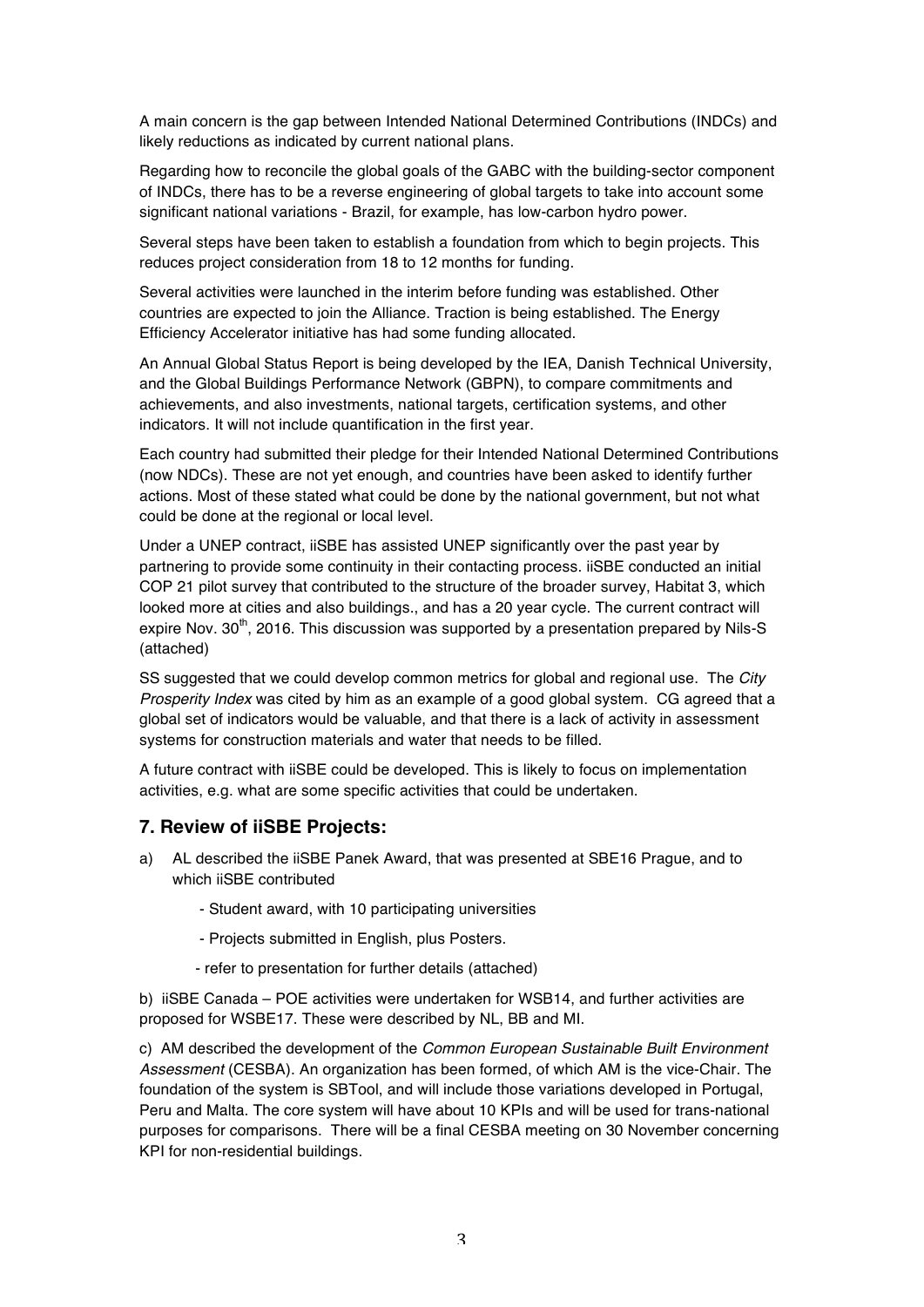A main concern is the gap between Intended National Determined Contributions (INDCs) and likely reductions as indicated by current national plans.

Regarding how to reconcile the global goals of the GABC with the building-sector component of INDCs, there has to be a reverse engineering of global targets to take into account some significant national variations - Brazil, for example, has low-carbon hydro power.

Several steps have been taken to establish a foundation from which to begin projects. This reduces project consideration from 18 to 12 months for funding.

Several activities were launched in the interim before funding was established. Other countries are expected to join the Alliance. Traction is being established. The Energy Efficiency Accelerator initiative has had some funding allocated.

An Annual Global Status Report is being developed by the IEA, Danish Technical University, and the Global Buildings Performance Network (GBPN), to compare commitments and achievements, and also investments, national targets, certification systems, and other indicators. It will not include quantification in the first year.

Each country had submitted their pledge for their Intended National Determined Contributions (now NDCs). These are not yet enough, and countries have been asked to identify further actions. Most of these stated what could be done by the national government, but not what could be done at the regional or local level.

Under a UNEP contract, iiSBE has assisted UNEP significantly over the past year by partnering to provide some continuity in their contacting process. iiSBE conducted an initial COP 21 pilot survey that contributed to the structure of the broader survey, Habitat 3, which looked more at cities and also buildings., and has a 20 year cycle. The current contract will expire Nov.  $30<sup>th</sup>$ , 2016. This discussion was supported by a presentation prepared by Nils-S (attached)

SS suggested that we could develop common metrics for global and regional use. The *City Prosperity Index* was cited by him as an example of a good global system. CG agreed that a global set of indicators would be valuable, and that there is a lack of activity in assessment systems for construction materials and water that needs to be filled.

A future contract with iiSBE could be developed. This is likely to focus on implementation activities, e.g. what are some specific activities that could be undertaken.

#### **7. Review of iiSBE Projects:**

- a) AL described the iiSBE Panek Award, that was presented at SBE16 Prague, and to which iiSBE contributed
	- Student award, with 10 participating universities
	- Projects submitted in English, plus Posters.
	- refer to presentation for further details (attached)

b) iiSBE Canada – POE activities were undertaken for WSB14, and further activities are proposed for WSBE17. These were described by NL, BB and MI.

c) AM described the development of the *Common European Sustainable Built Environment Assessment* (CESBA). An organization has been formed, of which AM is the vice-Chair. The foundation of the system is SBTool, and will include those variations developed in Portugal, Peru and Malta. The core system will have about 10 KPIs and will be used for trans-national purposes for comparisons. There will be a final CESBA meeting on 30 November concerning KPI for non-residential buildings.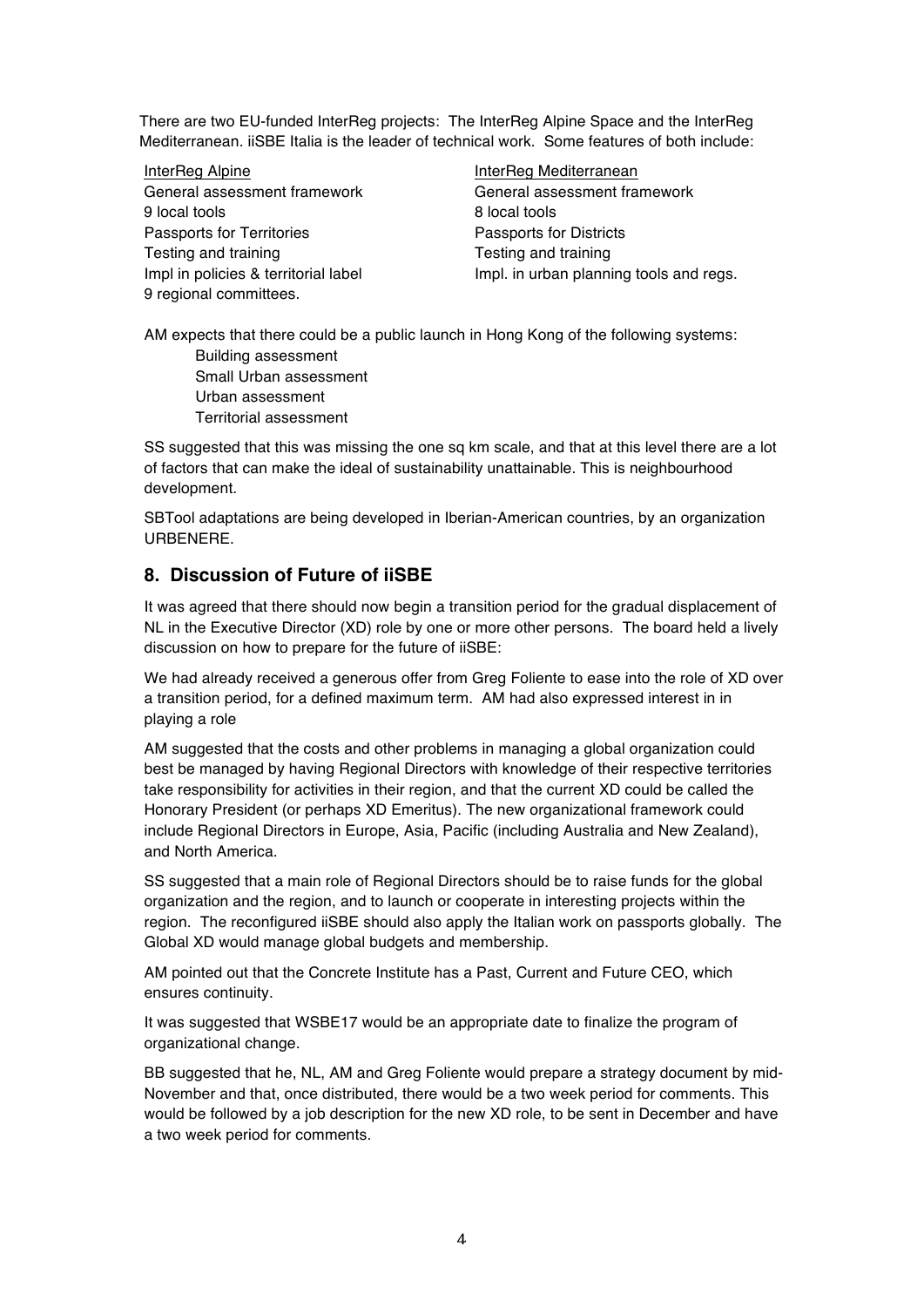There are two EU-funded InterReg projects: The InterReg Alpine Space and the InterReg Mediterranean. iiSBE Italia is the leader of technical work. Some features of both include:

InterReg Alpine **InterReg Mediterranean** General assessment framework General assessment framework 9 local tools 8 local tools Passports for Territories **Passports** Fessonts for Districts Testing and training Testing and training 9 regional committees.

Impl in policies & territorial label Impl. in urban planning tools and regs.

AM expects that there could be a public launch in Hong Kong of the following systems: Building assessment

Small Urban assessment Urban assessment Territorial assessment

SS suggested that this was missing the one sq km scale, and that at this level there are a lot of factors that can make the ideal of sustainability unattainable. This is neighbourhood development.

SBTool adaptations are being developed in Iberian-American countries, by an organization **URBENERE** 

## **8. Discussion of Future of iiSBE**

It was agreed that there should now begin a transition period for the gradual displacement of NL in the Executive Director (XD) role by one or more other persons. The board held a lively discussion on how to prepare for the future of iiSBE:

We had already received a generous offer from Greg Foliente to ease into the role of XD over a transition period, for a defined maximum term. AM had also expressed interest in in playing a role

AM suggested that the costs and other problems in managing a global organization could best be managed by having Regional Directors with knowledge of their respective territories take responsibility for activities in their region, and that the current XD could be called the Honorary President (or perhaps XD Emeritus). The new organizational framework could include Regional Directors in Europe, Asia, Pacific (including Australia and New Zealand), and North America.

SS suggested that a main role of Regional Directors should be to raise funds for the global organization and the region, and to launch or cooperate in interesting projects within the region. The reconfigured iiSBE should also apply the Italian work on passports globally. The Global XD would manage global budgets and membership.

AM pointed out that the Concrete Institute has a Past, Current and Future CEO, which ensures continuity.

It was suggested that WSBE17 would be an appropriate date to finalize the program of organizational change.

BB suggested that he, NL, AM and Greg Foliente would prepare a strategy document by mid-November and that, once distributed, there would be a two week period for comments. This would be followed by a job description for the new XD role, to be sent in December and have a two week period for comments.